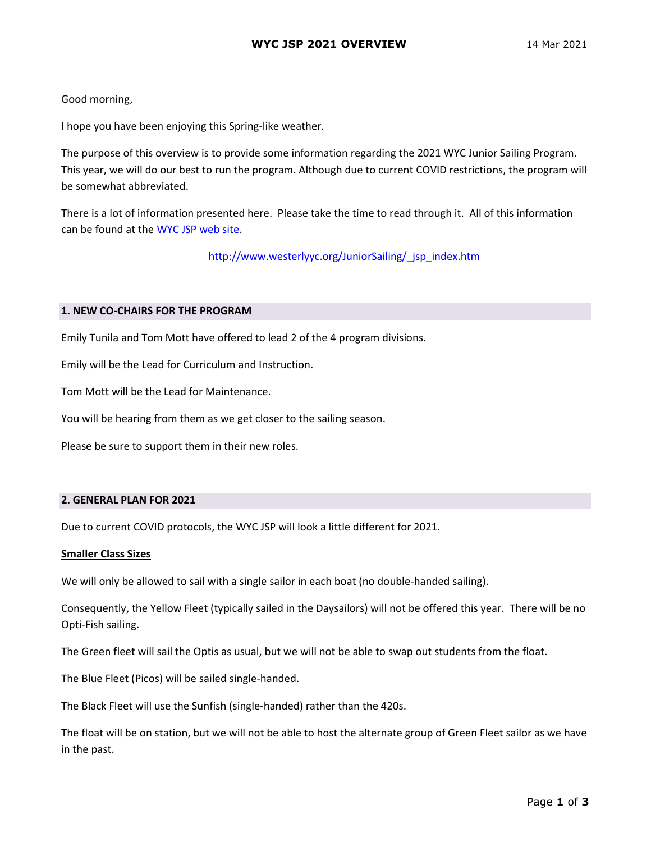# Good morning,

I hope you have been enjoying this Spring-like weather.

The purpose of this overview is to provide some information regarding the 2021 WYC Junior Sailing Program. This year, we will do our best to run the program. Although due to current COVID restrictions, the program will be somewhat abbreviated.

There is a lot of information presented here. Please take the time to read through it. All of this information can be found at the WYC JSP web site.

http://www.westerlyyc.org/JuniorSailing/ jsp\_index.htm

### 1. NEW CO-CHAIRS FOR THE PROGRAM

Emily Tunila and Tom Mott have offered to lead 2 of the 4 program divisions.

Emily will be the Lead for Curriculum and Instruction.

Tom Mott will be the Lead for Maintenance.

You will be hearing from them as we get closer to the sailing season.

Please be sure to support them in their new roles.

### 2. GENERAL PLAN FOR 2021

Due to current COVID protocols, the WYC JSP will look a little different for 2021.

### Smaller Class Sizes

We will only be allowed to sail with a single sailor in each boat (no double-handed sailing).

Consequently, the Yellow Fleet (typically sailed in the Daysailors) will not be offered this year. There will be no Opti-Fish sailing.

The Green fleet will sail the Optis as usual, but we will not be able to swap out students from the float.

The Blue Fleet (Picos) will be sailed single-handed.

The Black Fleet will use the Sunfish (single-handed) rather than the 420s.

The float will be on station, but we will not be able to host the alternate group of Green Fleet sailor as we have in the past.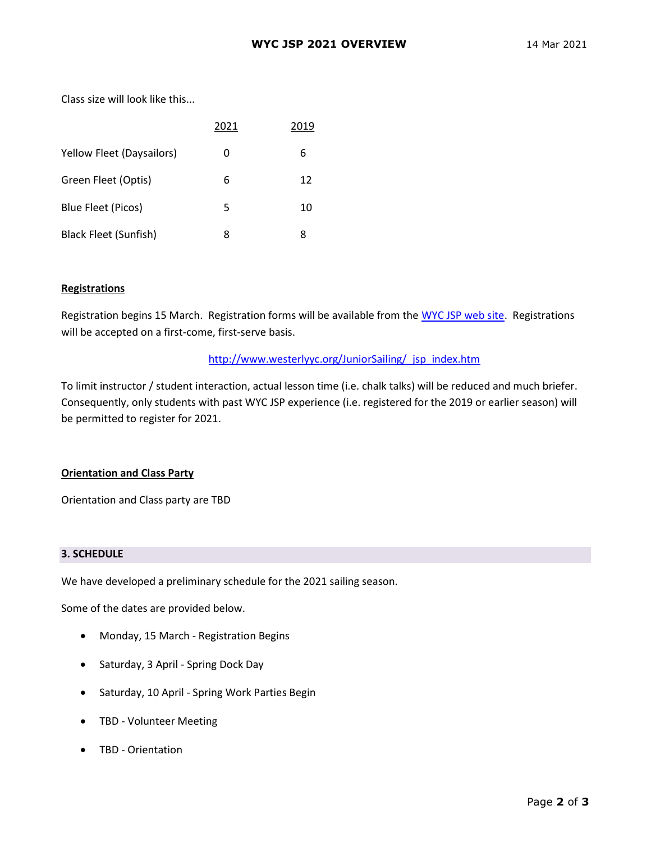Class size will look like this...

|                           | 2021 | 2019 |
|---------------------------|------|------|
| Yellow Fleet (Daysailors) | 0    | 6    |
| Green Fleet (Optis)       | 6    | 12   |
| Blue Fleet (Picos)        | 5    | 10   |
| Black Fleet (Sunfish)     | 8    | 8    |

### Registrations

Registration begins 15 March. Registration forms will be available from the WYC JSP web site. Registrations will be accepted on a first-come, first-serve basis.

### http://www.westerlyyc.org/JuniorSailing/ jsp\_index.htm

To limit instructor / student interaction, actual lesson time (i.e. chalk talks) will be reduced and much briefer. Consequently, only students with past WYC JSP experience (i.e. registered for the 2019 or earlier season) will be permitted to register for 2021.

### Orientation and Class Party

Orientation and Class party are TBD

#### 3. SCHEDULE

We have developed a preliminary schedule for the 2021 sailing season.

Some of the dates are provided below.

- Monday, 15 March Registration Begins
- Saturday, 3 April Spring Dock Day
- Saturday, 10 April Spring Work Parties Begin
- TBD Volunteer Meeting
- TBD Orientation